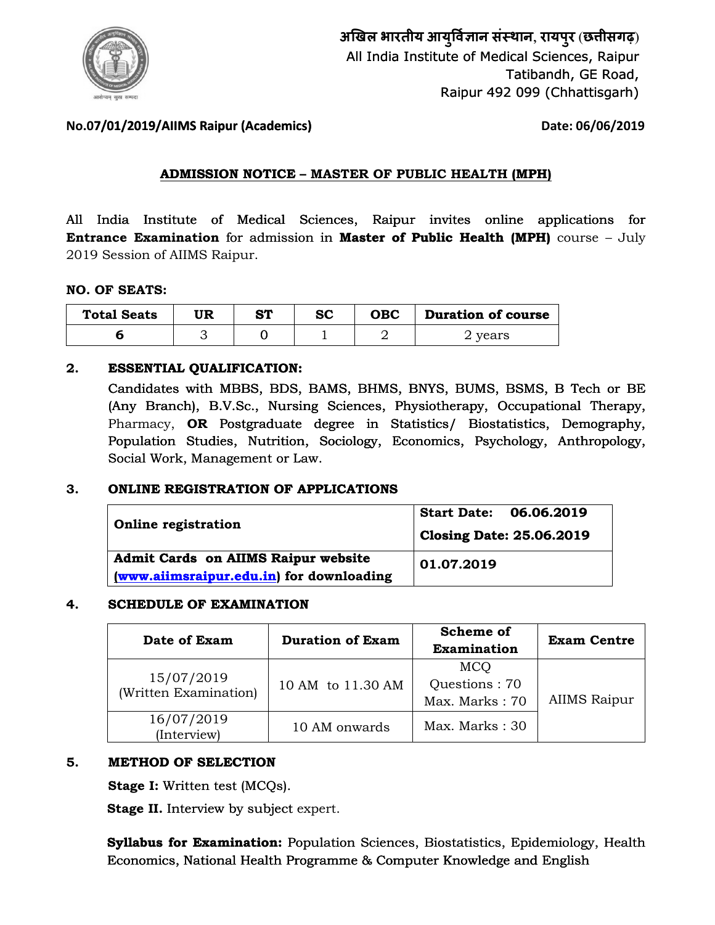

**अखल भारतीय आयुवान संथान**, **रायपुर** (**छीसगढ़**) All India Institute of Medical Sciences, Raipur Tatibandh, GE Road, ute of Medical Sciences, Raipur<br>Tatibandh, GE Road,<br>Raipur 492 099 (Chhattisgarh)

# **No.07/01/2019/AIIMS Raipur (Academics) 7/01/2019/AIIMS (Academics)**

 **Date: 06/06/2019**

# **ADMISSION NOTICE – MASTER OF PUBLIC HEALTH (MPH) (MPH)**

All India Institute of Medical Sciences, Raipur invites online applications for **Entrance Examination** for admission in **Master of Public Health (MPH)** course – July 2019 Session of AIIMS Raipur.

### **NO. OF SEATS:**

| <b>Total Seats</b> | MD | <b>ST</b> | <b>SC</b> | <b>OBC</b> | <b>Duration of course</b> |
|--------------------|----|-----------|-----------|------------|---------------------------|
|                    |    |           |           |            | years                     |

## **2. ESSENTIAL QUALIFICATION:**

Candidates with MBBS, BDS, BAMS, BHMS, BNYS, BUMS, BSMS, B Tech or BE (Any Branch), B.V.Sc., Nursing Sciences, Physiotherapy, Occupational Therapy, Pharmacy, **OR** Postgraduate degree in Statistics/ Biostatistics, Demography, Population Studies, Nutrition, Sociology, Economics, Psychology, Anthropology, Social Work, Management or Law. with MBBS, BDS, BAMS, BHMS, BNYS, BUMS, BSMS, B Tech or BE<br>a), B.V.Sc., Nursing Sciences, Physiotherapy, Occupational Therapy,<br>**OR** Postgraduate degree in Statistics/ Biostatistics, Demography,<br>Studies, Nutrition, Sociolog

#### **3. ONLINE REGISTRATION OF APPLICATIONS**

| <b>Online registration</b>                                                             | Start Date: 06.06.2019<br><b>Closing Date: 25.06.2019</b> |
|----------------------------------------------------------------------------------------|-----------------------------------------------------------|
| <b>Admit Cards on AIIMS Raipur website</b><br>(www.aiimsraipur.edu.in) for downloading | 01.07.2019                                                |

#### **4. SCHEDULE OF EXAMINATION**

| Date of Exam                        | <b>Duration of Exam</b> | <b>Scheme of</b><br>Examination               | <b>Exam Centre</b>  |
|-------------------------------------|-------------------------|-----------------------------------------------|---------------------|
| 15/07/2019<br>(Written Examination) | 10 AM to 11.30 AM       | <b>MCO</b><br>Questions: 70<br>Max. Marks: 70 | <b>AIIMS Raipur</b> |
| 16/07/2019<br>(Interview)           | 10 AM onwards           | Max. Marks: 30                                |                     |

#### **5. METHOD OF SELECTION**

**Stage I:** Written test (MCQs).

Stage II. Interview by subject expert.

**Syllabus for Examination:** Population Sciences, Biostatistics, Epidemiology, Health **Syllabus for Examination:** Population Sciences, Biostatistics, Epidemiolog<br>Economics, National Health Programme & Computer Knowledge and English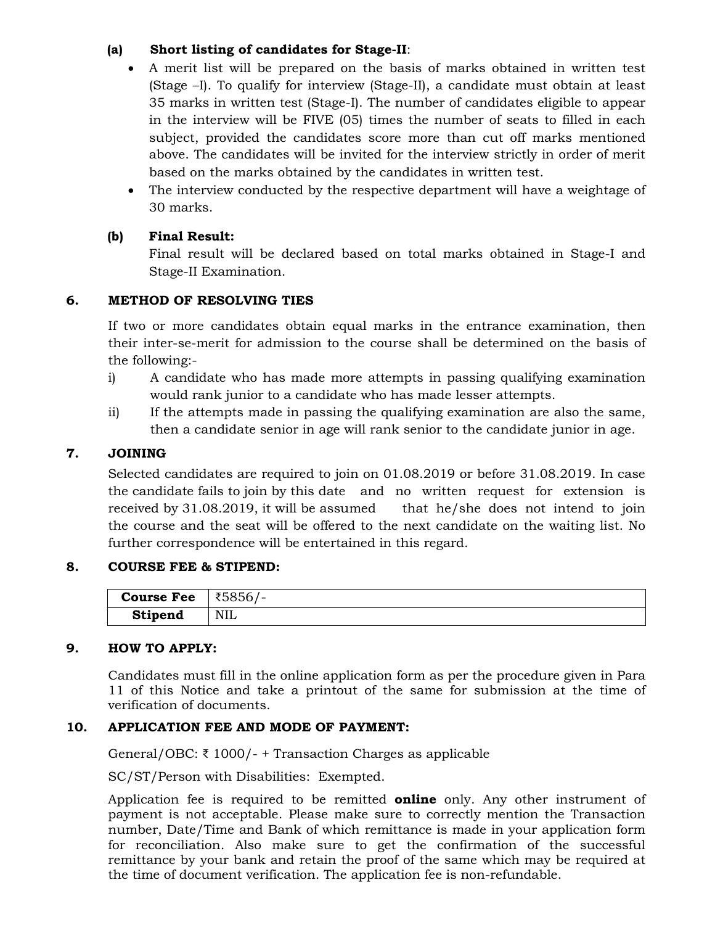## **(a) Short listing of candidates for Stage-II**:

- A merit list will be prepared on the basis of marks obtained in written test (Stage –I). To qualify for interview (Stage-II), a candidate must obtain at least 35 marks in written test (Stage-I). The number of candidates eligible to appear in the interview will be FIVE (05) times the number of seats to filled in each subject, provided the candidates score more than cut off marks mentioned above. The candidates will be invited for the interview strictly in order of merit based on the marks obtained by the candidates in written test.
- The interview conducted by the respective department will have a weightage of 30 marks.

# **(b) Final Result:**

Final result will be declared based on total marks obtained in Stage-I and Stage-II Examination.

# **6. METHOD OF RESOLVING TIES**

If two or more candidates obtain equal marks in the entrance examination, then their inter-se-merit for admission to the course shall be determined on the basis of the following:-

- i) A candidate who has made more attempts in passing qualifying examination would rank junior to a candidate who has made lesser attempts.
- ii) If the attempts made in passing the qualifying examination are also the same, then a candidate senior in age will rank senior to the candidate junior in age.

# **7. JOINING**

Selected candidates are required to join on 01.08.2019 or before 31.08.2019. In case the candidate fails to join by this date and no written request for extension is received by 31.08.2019, it will be assumed that he/she does not intend to join the course and the seat will be offered to the next candidate on the waiting list. No further correspondence will be entertained in this regard.

## **8. COURSE FEE & STIPEND:**

| <b>Course Fee</b> | ₹5856/-    |
|-------------------|------------|
| <b>Stipend</b>    | <b>NIL</b> |

## **9. HOW TO APPLY:**

Candidates must fill in the online application form as per the procedure given in Para 11 of this Notice and take a printout of the same for submission at the time of verification of documents.

# **10. APPLICATION FEE AND MODE OF PAYMENT:**

General/OBC: ₹ 1000/- + Transaction Charges as applicable

SC/ST/Person with Disabilities: Exempted.

Application fee is required to be remitted **online** only. Any other instrument of payment is not acceptable. Please make sure to correctly mention the Transaction number, Date/Time and Bank of which remittance is made in your application form for reconciliation. Also make sure to get the confirmation of the successful remittance by your bank and retain the proof of the same which may be required at the time of document verification. The application fee is non-refundable.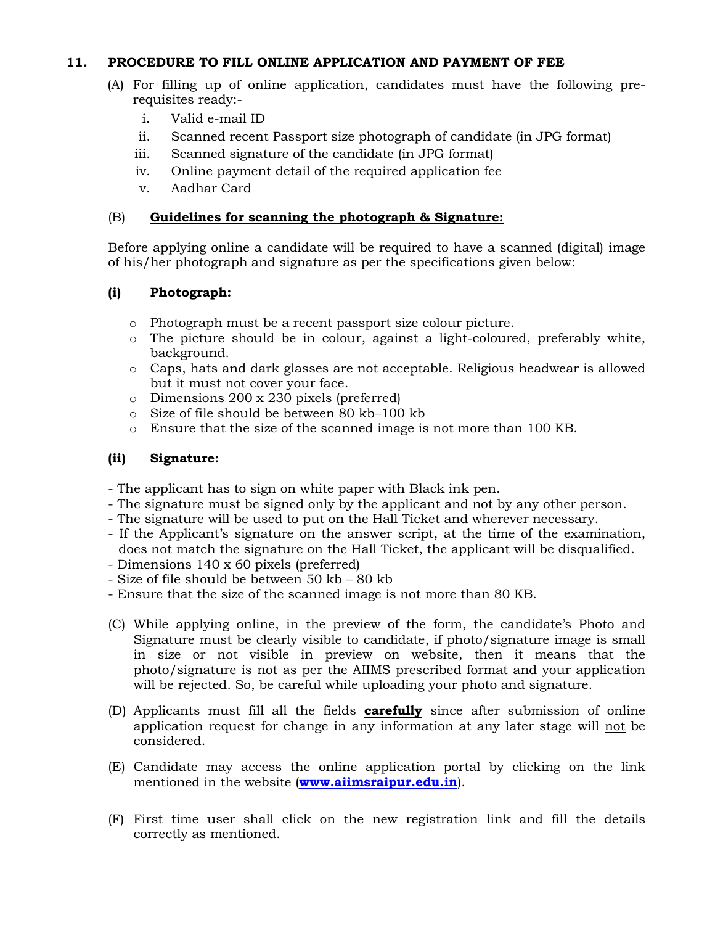## **11. PROCEDURE TO FILL ONLINE APPLICATION AND PAYMENT OF FEE**

- (A) For filling up of online application, candidates must have the following prerequisites ready:
	- i. Valid e-mail ID
	- ii. Scanned recent Passport size photograph of candidate (in JPG format)
	- iii. Scanned signature of the candidate (in JPG format)
	- iv. Online payment detail of the required application fee
	- v. Aadhar Card

# (B) **Guidelines for scanning the photograph & Signature:**

Before applying online a candidate will be required to have a scanned (digital) image of his/her photograph and signature as per the specifications given below:

# **(i) Photograph:**

- o Photograph must be a recent passport size colour picture.
- o The picture should be in colour, against a light-coloured, preferably white, background.
- o Caps, hats and dark glasses are not acceptable. Religious headwear is allowed but it must not cover your face.
- o Dimensions 200 x 230 pixels (preferred)
- o Size of file should be between 80 kb–100 kb
- o Ensure that the size of the scanned image is not more than 100 KB.

# **(ii) Signature:**

- The applicant has to sign on white paper with Black ink pen.
- The signature must be signed only by the applicant and not by any other person.
- The signature will be used to put on the Hall Ticket and wherever necessary.
- If the Applicant's signature on the answer script, at the time of the examination, does not match the signature on the Hall Ticket, the applicant will be disqualified.
- Dimensions 140 x 60 pixels (preferred)
- Size of file should be between 50 kb 80 kb
- Ensure that the size of the scanned image is not more than 80 KB.
- (C) While applying online, in the preview of the form, the candidate's Photo and Signature must be clearly visible to candidate, if photo/signature image is small in size or not visible in preview on website, then it means that the photo/signature is not as per the AIIMS prescribed format and your application will be rejected. So, be careful while uploading your photo and signature.
- (D) Applicants must fill all the fields **carefully** since after submission of online application request for change in any information at any later stage will not be considered.
- (E) Candidate may access the online application portal by clicking on the link mentioned in the website (**[www.aiimsraipur.ed](http://www.aiimsraipur.edu.in/)u.in**).
- (F) First time user shall click on the new registration link and fill the details correctly as mentioned.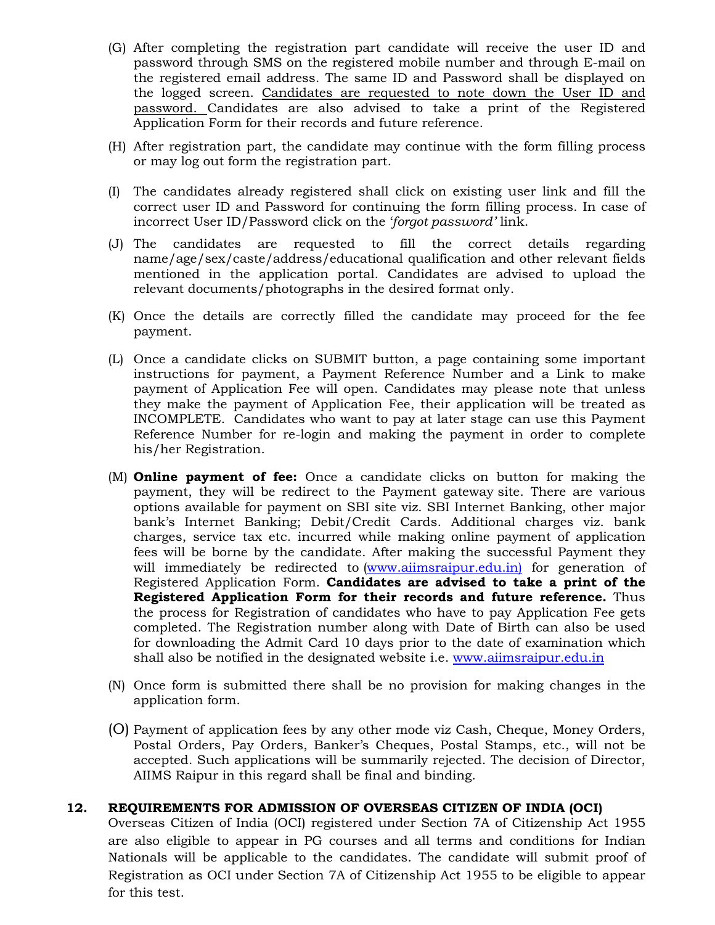- (G) After completing the registration part candidate will receive the user ID and password through SMS on the registered mobile number and through E-mail on the registered email address. The same ID and Password shall be displayed on the logged screen. Candidates are requested to note down the User ID and password. Candidates are also advised to take a print of the Registered Application Form for their records and future reference.
- (H) After registration part, the candidate may continue with the form filling process or may log out form the registration part.
- (I) The candidates already registered shall click on existing user link and fill the correct user ID and Password for continuing the form filling process. In case of incorrect User ID/Password click on the '*forgot password'* link.
- (J) The candidates are requested to fill the correct details regarding name/age/sex/caste/address/educational qualification and other relevant fields mentioned in the application portal. Candidates are advised to upload the relevant documents/photographs in the desired format only.
- (K) Once the details are correctly filled the candidate may proceed for the fee payment.
- (L) Once a candidate clicks on SUBMIT button, a page containing some important instructions for payment, a Payment Reference Number and a Link to make payment of Application Fee will open. Candidates may please note that unless they make the payment of Application Fee, their application will be treated as INCOMPLETE. Candidates who want to pay at later stage can use this Payment Reference Number for re-login and making the payment in order to complete his/her Registration.
- (M) **Online payment of fee:** Once a candidate clicks on button for making the payment, they will be redirect to the Payment gateway site. There are various options available for payment on SBI site viz. SBI Internet Banking, other major bank's Internet Banking; Debit/Credit Cards. Additional charges viz. bank charges, service tax etc. incurred while making online payment of application fees will be borne by the candidate. After making the successful Payment they will immediately be redirected to [\(www.aiimsraipur.ed](http://www.aiimsraipur.edu.in)u.in) for generation of Registered Application Form. **Candidates are advised to take a print of the Registered Application Form for their records and future reference.** Thus the process for Registration of candidates who have to pay Application Fee gets completed. The Registration number along with Date of Birth can also be used for downloading the Admit Card 10 days prior to the date of examination which shall also be notified in the designated website i.e. w[ww.aiimsraipur.edu.](http://www.aiimsraipur.edu.in/)in
- (N) Once form is submitted there shall be no provision for making changes in the application form.
- (O) Payment of application fees by any other mode viz Cash, Cheque, Money Orders, Postal Orders, Pay Orders, Banker's Cheques, Postal Stamps, etc., will not be accepted. Such applications will be summarily rejected. The decision of Director, AIIMS Raipur in this regard shall be final and binding.

#### **12. REQUIREMENTS FOR ADMISSION OF OVERSEAS CITIZEN OF INDIA (OCI)**

Overseas Citizen of India (OCI) registered under Section 7A of Citizenship Act 1955 are also eligible to appear in PG courses and all terms and conditions for Indian Nationals will be applicable to the candidates. The candidate will submit proof of Registration as OCI under Section 7A of Citizenship Act 1955 to be eligible to appear for this test.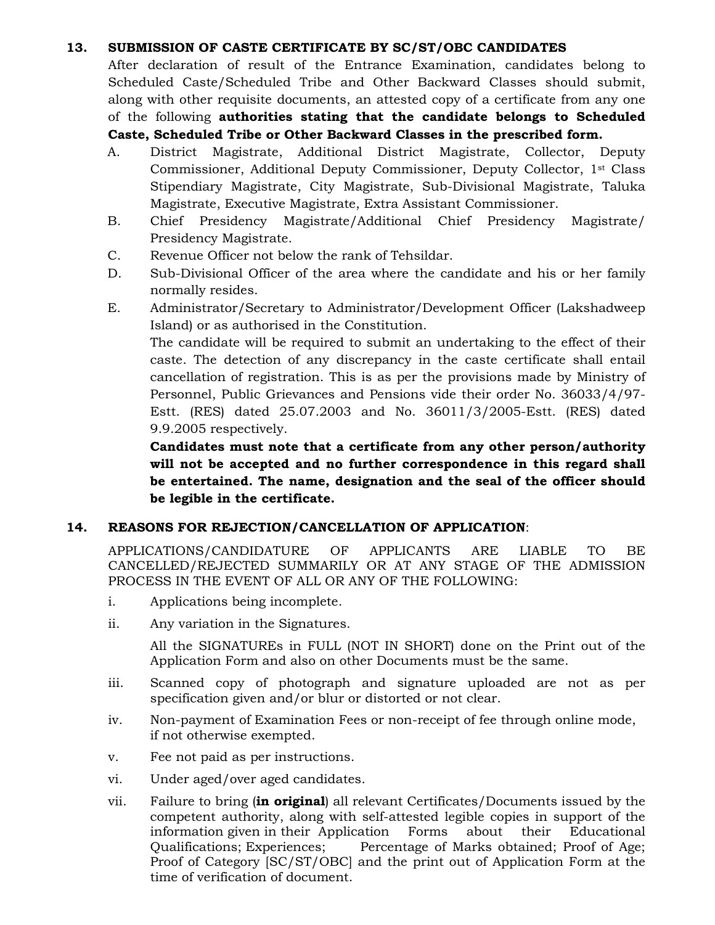## **13. SUBMISSION OF CASTE CERTIFICATE BY SC/ST/OBC CANDIDATES**

After declaration of result of the Entrance Examination, candidates belong to Scheduled Caste/Scheduled Tribe and Other Backward Classes should submit, along with other requisite documents, an attested copy of a certificate from any one of the following **authorities stating that the candidate belongs to Scheduled Caste, Scheduled Tribe or Other Backward Classes in the prescribed form.**

- A. District Magistrate, Additional District Magistrate, Collector, Deputy Commissioner, Additional Deputy Commissioner, Deputy Collector, 1st Class Stipendiary Magistrate, City Magistrate, Sub-Divisional Magistrate, Taluka Magistrate, Executive Magistrate, Extra Assistant Commissioner.
- B. Chief Presidency Magistrate/Additional Chief Presidency Magistrate/ Presidency Magistrate.
- C. Revenue Officer not below the rank of Tehsildar.
- D. Sub-Divisional Officer of the area where the candidate and his or her family normally resides.
- E. Administrator/Secretary to Administrator/Development Officer (Lakshadweep Island) or as authorised in the Constitution.

The candidate will be required to submit an undertaking to the effect of their caste. The detection of any discrepancy in the caste certificate shall entail cancellation of registration. This is as per the provisions made by Ministry of Personnel, Public Grievances and Pensions vide their order No. 36033/4/97- Estt. (RES) dated 25.07.2003 and No. 36011/3/2005-Estt. (RES) dated 9.9.2005 respectively.

**Candidates must note that a certificate from any other person/authority will not be accepted and no further correspondence in this regard shall be entertained. The name, designation and the seal of the officer should be legible in the certificate.** 

## **14. REASONS FOR REJECTION/CANCELLATION OF APPLICATION**:

APPLICATIONS/CANDIDATURE OF APPLICANTS ARE LIABLE TO BE CANCELLED/REJECTED SUMMARILY OR AT ANY STAGE OF THE ADMISSION PROCESS IN THE EVENT OF ALL OR ANY OF THE FOLLOWING:

- i. Applications being incomplete.
- ii. Any variation in the Signatures.

All the SIGNATUREs in FULL (NOT IN SHORT) done on the Print out of the Application Form and also on other Documents must be the same.

- iii. Scanned copy of photograph and signature uploaded are not as per specification given and/or blur or distorted or not clear.
- iv. Non-payment of Examination Fees or non-receipt of fee through online mode, if not otherwise exempted.
- v. Fee not paid as per instructions.
- vi. Under aged/over aged candidates.
- vii. Failure to bring (**in original**) all relevant Certificates/Documents issued by the competent authority, along with self-attested legible copies in support of the information given in their Application Forms about their Educational Qualifications; Experiences; Percentage of Marks obtained; Proof of Age; Proof of Category [SC/ST/OBC] and the print out of Application Form at the time of verification of document.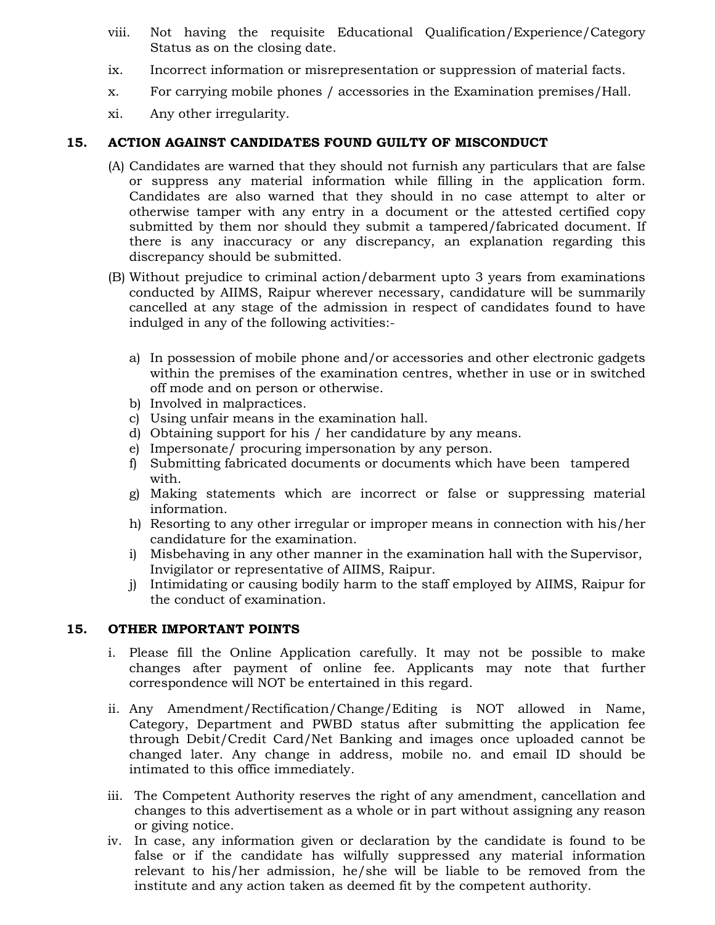- viii. Not having the requisite Educational Qualification/Experience/Category Status as on the closing date.
- ix. Incorrect information or misrepresentation or suppression of material facts.
- x. For carrying mobile phones / accessories in the Examination premises/Hall.
- xi. Any other irregularity.

## **15. ACTION AGAINST CANDIDATES FOUND GUILTY OF MISCONDUCT**

- (A) Candidates are warned that they should not furnish any particulars that are false or suppress any material information while filling in the application form. Candidates are also warned that they should in no case attempt to alter or otherwise tamper with any entry in a document or the attested certified copy submitted by them nor should they submit a tampered/fabricated document. If there is any inaccuracy or any discrepancy, an explanation regarding this discrepancy should be submitted.
- (B) Without prejudice to criminal action/debarment upto 3 years from examinations conducted by AIIMS, Raipur wherever necessary, candidature will be summarily cancelled at any stage of the admission in respect of candidates found to have indulged in any of the following activities:
	- a) In possession of mobile phone and/or accessories and other electronic gadgets within the premises of the examination centres, whether in use or in switched off mode and on person or otherwise.
	- b) Involved in malpractices.
	- c) Using unfair means in the examination hall.
	- d) Obtaining support for his / her candidature by any means.
	- e) Impersonate/ procuring impersonation by any person.
	- f) Submitting fabricated documents or documents which have been tampered with.
	- g) Making statements which are incorrect or false or suppressing material information.
	- h) Resorting to any other irregular or improper means in connection with his/her candidature for the examination.
	- i) Misbehaving in any other manner in the examination hall with the Supervisor, Invigilator or representative of AIIMS, Raipur.
	- j) Intimidating or causing bodily harm to the staff employed by AIIMS, Raipur for the conduct of examination.

# **15. OTHER IMPORTANT POINTS**

- i. Please fill the Online Application carefully. It may not be possible to make changes after payment of online fee. Applicants may note that further correspondence will NOT be entertained in this regard.
- ii. Any Amendment/Rectification/Change/Editing is NOT allowed in Name, Category, Department and PWBD status after submitting the application fee through Debit/Credit Card/Net Banking and images once uploaded cannot be changed later. Any change in address, mobile no. and email ID should be intimated to this office immediately.
- iii. The Competent Authority reserves the right of any amendment, cancellation and changes to this advertisement as a whole or in part without assigning any reason or giving notice.
- iv. In case, any information given or declaration by the candidate is found to be false or if the candidate has wilfully suppressed any material information relevant to his/her admission, he/she will be liable to be removed from the institute and any action taken as deemed fit by the competent authority.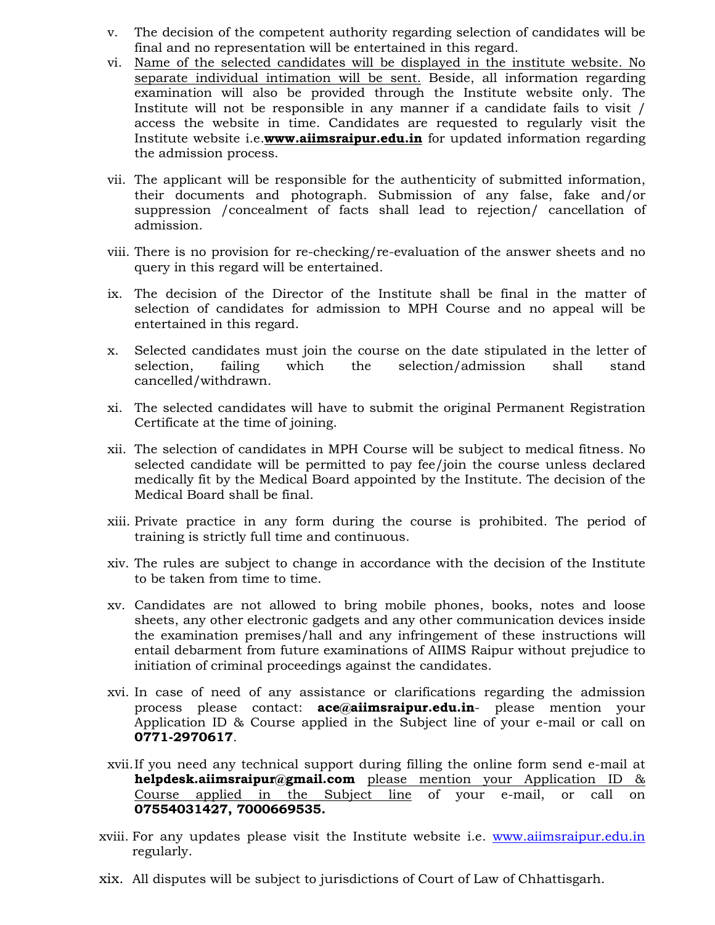- v. The decision of the competent authority regarding selection of candidates will be final and no representation will be entertained in this regard.
- vi. Name of the selected candidates will be displayed in the institute website. No separate individual intimation will be sent. Beside, all information regarding examination will also be provided through the Institute website only. The Institute will not be responsible in any manner if a candidate fails to visit / access the website in time. Candidates are requested to regularly visit the Institute website i.e.**www.aiimsraipur.edu.in** for updated information regarding the admission process.
- vii. The applicant will be responsible for the authenticity of submitted information, their documents and photograph. Submission of any false, fake and/or suppression /concealment of facts shall lead to rejection/ cancellation of admission.
- viii. There is no provision for re-checking/re-evaluation of the answer sheets and no query in this regard will be entertained.
- ix. The decision of the Director of the Institute shall be final in the matter of selection of candidates for admission to MPH Course and no appeal will be entertained in this regard.
- x. Selected candidates must join the course on the date stipulated in the letter of selection, failing which the selection/admission shall stand cancelled/withdrawn.
- xi. The selected candidates will have to submit the original Permanent Registration Certificate at the time of joining.
- xii. The selection of candidates in MPH Course will be subject to medical fitness. No selected candidate will be permitted to pay fee/join the course unless declared medically fit by the Medical Board appointed by the Institute. The decision of the Medical Board shall be final.
- xiii. Private practice in any form during the course is prohibited. The period of training is strictly full time and continuous.
- xiv. The rules are subject to change in accordance with the decision of the Institute to be taken from time to time.
- xv. Candidates are not allowed to bring mobile phones, books, notes and loose sheets, any other electronic gadgets and any other communication devices inside the examination premises/hall and any infringement of these instructions will entail debarment from future examinations of AIIMS Raipur without prejudice to initiation of criminal proceedings against the candidates.
- xvi. In case of need of any assistance or clarifications regarding the admission process please contact: **ace@aiimsraipur.edu.in**- please mention your Application ID & Course applied in the Subject line of your e-mail or call on **0771-2970617**.
- xvii.If you need any technical support during filling the online form send e-mail at **[helpdesk.aiimsraipur@gma](mailto:helpdesk.aiimsraipur@gmail.com)il.com** please mention your Application ID & Course applied in the Subject line of your e-mail, or call on **07554031427, 7000669535.**
- xviii. For any updates please visit the Institute website i.e. [www.aiimsraipur.e](http://www.aiimsraipur.edu.in/)du.in regularly.
- xix. All disputes will be subject to jurisdictions of Court of Law of Chhattisgarh.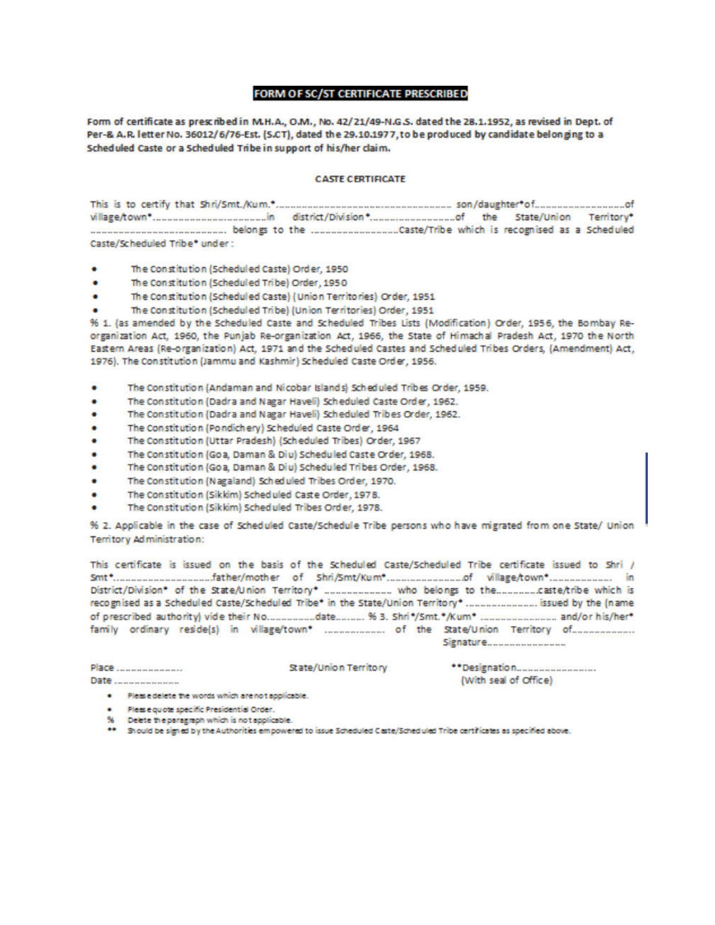#### **FORM OF SC/ST CERTIFICATE PRESCRIBED**

Form of certificate as prescribed in M.H.A., O.M., No. 42/21/49-N.G.S. dated the 28.1.1952, as revised in Dept. of Per-& A.R. letter No. 36012/6/76-Est. (S.CT), dated the 29.10.1977, to be produced by candidate belonging to a Scheduled Caste or a Scheduled Tribe in support of his/her claim.

#### **CASTE CERTIFICATE**

| Caste/Scheduled Tribe* under: |  |  |
|-------------------------------|--|--|

- The Constitution (Scheduled Caste) Order, 1950
- The Constitution (Scheduled Tribe) Order, 1950 ٠
- The Constitution (Scheduled Caste) (Union Territories) Order, 1951
- The Constitution (Scheduled Tribe) (Union Territories) Order, 1951

% 1. (as amended by the Scheduled Caste and Scheduled Tribes Lists (Modification) Order, 1956, the Bombay Reorganization Act, 1960, the Punjab Re-organization Act, 1966, the State of Himachal Pradesh Act, 1970 the North Eastern Areas (Re-organization) Act, 1971 and the Scheduled Castes and Scheduled Tribes Orders, (Amendment) Act, 1976). The Constitution (Jammu and Kashmir) Scheduled Caste Order, 1956.

- The Constitution (Andaman and Nicobar Islands) Scheduled Tribes Order, 1959.
- The Constitution (Dadra and Nagar Haveli) Scheduled Caste Order, 1962. ٠
- ٠ The Constitution (Dadra and Nagar Haveli) Scheduled Tribes Order, 1962.
- ٠ The Constitution (Pondichery) Scheduled Caste Order, 1964
- ٠ The Constitution (Uttar Pradesh) (Scheduled Tribes) Order, 1967
- ٠ The Constitution (Goa, Daman & Diu) Scheduled Caste Order, 1968.
- The Constitution (Goa, Daman & Diu) Scheduled Tribes Order, 1968.
- The Constitution (Nagaland) Scheduled Tribes Order, 1970.
- The Constitution (Sikkim) Scheduled Caste Order, 1978.
- The Constitution (Sikkim) Scheduled Tribes Order, 1978.

% 2. Applicable in the case of Scheduled Caste/Schedule Tribe persons who have migrated from one State/ Union Territory Administration:

This certificate is issued on the basis of the Scheduled Caste/Scheduled Tribe certificate issued to Shri / recognised as a Scheduled Caste/Scheduled Tribe\* in the State/Union Territory\* ....................... issued by the (name family ordinary reside(s) in village/town\* .................... of the State/Union Territory of..................... Signature.....................

|  |  | State/Union Territory                             |                       |  |  |  |
|--|--|---------------------------------------------------|-----------------------|--|--|--|
|  |  |                                                   | (With seal of Office) |  |  |  |
|  |  | Please delete the words which are not applicable. |                       |  |  |  |
|  |  |                                                   |                       |  |  |  |

- · Please quote specific Presidential Order.<br>% Delete the paragraph which is not applicable.
- 
- \*\* Should be signed by the Authorities empowered to issue Scheduled Caste/Scheduled Tribe certificates as specified above.